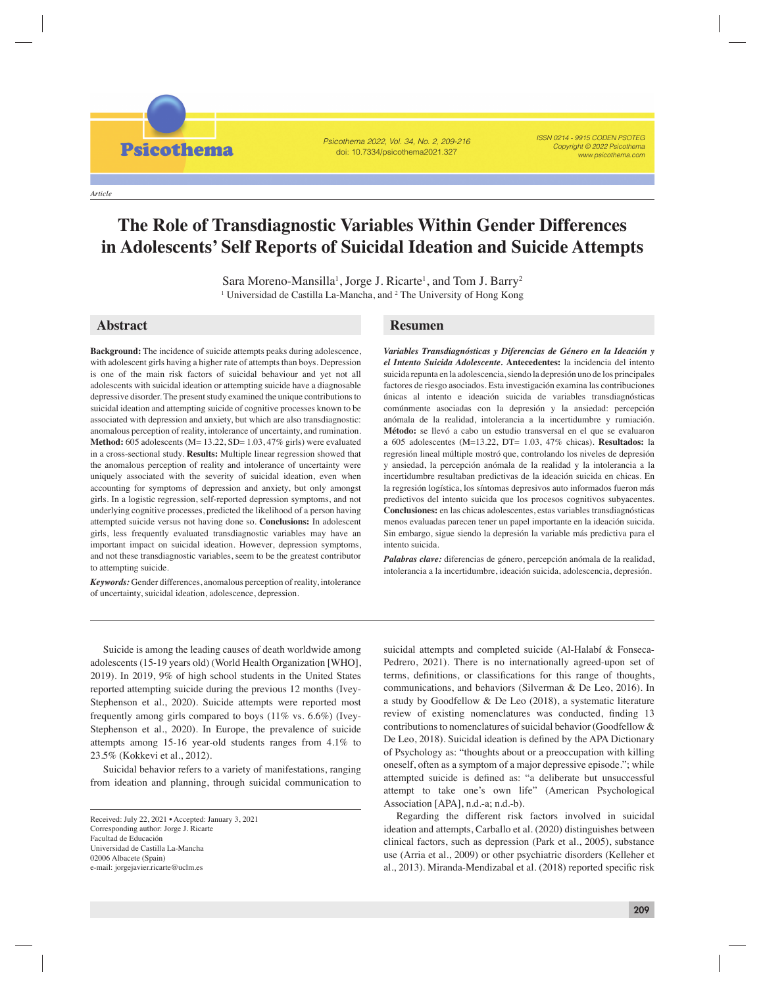*Article*

**Psicothema** 

# **The Role of Transdiagnostic Variables Within Gender Differences in Adolescents' Self Reports of Suicidal Ideation and Suicide Attempts**

Psicothema 2022, Vol. 34, No. 2, 209-216 doi: 10.7334/psicothema2021.327

Sara Moreno-Mansilla<sup>1</sup>, Jorge J. Ricarte<sup>1</sup>, and Tom J. Barry<sup>2</sup> <sup>1</sup> Universidad de Castilla La-Mancha, and <sup>2</sup> The University of Hong Kong

## **Abstract Resumen**

**Background:** The incidence of suicide attempts peaks during adolescence, with adolescent girls having a higher rate of attempts than boys. Depression is one of the main risk factors of suicidal behaviour and yet not all adolescents with suicidal ideation or attempting suicide have a diagnosable depressive disorder. The present study examined the unique contributions to suicidal ideation and attempting suicide of cognitive processes known to be associated with depression and anxiety, but which are also transdiagnostic: anomalous perception of reality, intolerance of uncertainty, and rumination. **Method:** 605 adolescents (M= 13.22, SD= 1.03, 47% girls) were evaluated in a cross-sectional study. **Results:** Multiple linear regression showed that the anomalous perception of reality and intolerance of uncertainty were uniquely associated with the severity of suicidal ideation, even when accounting for symptoms of depression and anxiety, but only amongst girls. In a logistic regression, self-reported depression symptoms, and not underlying cognitive processes, predicted the likelihood of a person having attempted suicide versus not having done so. **Conclusions:** In adolescent girls, less frequently evaluated transdiagnostic variables may have an important impact on suicidal ideation. However, depression symptoms, and not these transdiagnostic variables, seem to be the greatest contributor to attempting suicide.

*Keywords:* Gender differences, anomalous perception of reality, intolerance of uncertainty, suicidal ideation, adolescence, depression.

*Variables Transdiagnósticas y Diferencias de Género en la Ideación y el Intento Suicida Adolescente.* **Antecedentes:** la incidencia del intento suicida repunta en la adolescencia, siendo la depresión uno de los principales factores de riesgo asociados. Esta investigación examina las contribuciones únicas al intento e ideación suicida de variables transdiagnósticas comúnmente asociadas con la depresión y la ansiedad: percepción anómala de la realidad, intolerancia a la incertidumbre y rumiación. **Método:** se llevó a cabo un estudio transversal en el que se evaluaron a 605 adolescentes (M=13.22, DT= 1.03, 47% chicas). **Resultados:** la regresión lineal múltiple mostró que, controlando los niveles de depresión y ansiedad, la percepción anómala de la realidad y la intolerancia a la incertidumbre resultaban predictivas de la ideación suicida en chicas. En la regresión logística, los síntomas depresivos auto informados fueron más predictivos del intento suicida que los procesos cognitivos subyacentes. **Conclusiones:** en las chicas adolescentes, estas variables transdiagnósticas menos evaluadas parecen tener un papel importante en la ideación suicida. Sin embargo, sigue siendo la depresión la variable más predictiva para el intento suicida.

ISSN 0214 - 9915 CODEN PSOTEG Copyright © 2022 Psicothema www.psicothema.com

*Palabras clave:* diferencias de género, percepción anómala de la realidad, intolerancia a la incertidumbre, ideación suicida, adolescencia, depresión.

Suicide is among the leading causes of death worldwide among adolescents (15-19 years old) (World Health Organization [WHO], 2019). In 2019, 9% of high school students in the United States reported attempting suicide during the previous 12 months (Ivey-Stephenson et al., 2020). Suicide attempts were reported most frequently among girls compared to boys (11% vs. 6.6%) (Ivey-Stephenson et al., 2020). In Europe, the prevalence of suicide attempts among 15-16 year-old students ranges from 4.1% to 23.5% (Kokkevi et al., 2012).

Suicidal behavior refers to a variety of manifestations, ranging from ideation and planning, through suicidal communication to

suicidal attempts and completed suicide (Al-Halabí & Fonseca-Pedrero, 2021). There is no internationally agreed-upon set of terms, definitions, or classifications for this range of thoughts, communications, and behaviors (Silverman & De Leo, 2016). In a study by Goodfellow & De Leo (2018), a systematic literature review of existing nomenclatures was conducted, finding 13 contributions to nomenclatures of suicidal behavior (Goodfellow & De Leo, 2018). Suicidal ideation is defined by the APA Dictionary of Psychology as: "thoughts about or a preoccupation with killing oneself, often as a symptom of a major depressive episode."; while attempted suicide is defined as: "a deliberate but unsuccessful attempt to take one's own life" (American Psychological Association [APA], n.d.-a; n.d.-b).

Regarding the different risk factors involved in suicidal ideation and attempts, Carballo et al. (2020) distinguishes between clinical factors, such as depression (Park et al., 2005), substance use (Arria et al., 2009) or other psychiatric disorders (Kelleher et al., 2013). Miranda-Mendizabal et al. (2018) reported specific risk

Received: July 22, 2021 • Accepted: January 3, 2021 Corresponding author: Jorge J. Ricarte Facultad de Educación Universidad de Castilla La-Mancha 02006 Albacete (Spain) e-mail: jorgejavier.ricarte@uclm.es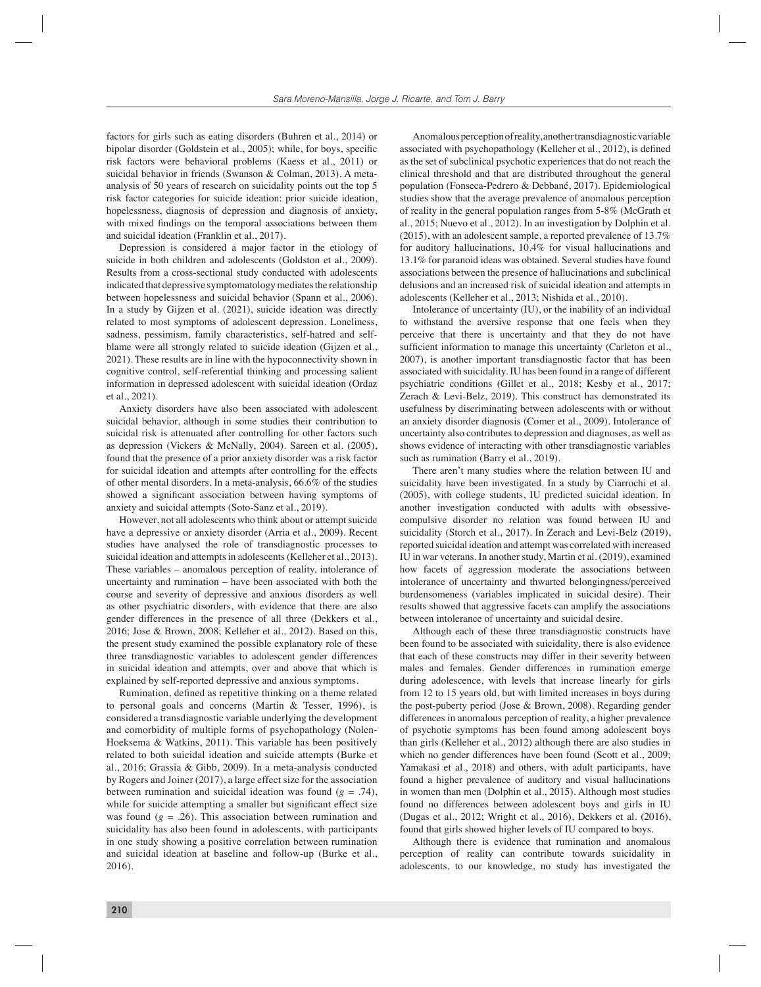factors for girls such as eating disorders (Buhren et al., 2014) or bipolar disorder (Goldstein et al., 2005); while, for boys, specific risk factors were behavioral problems (Kaess et al., 2011) or suicidal behavior in friends (Swanson & Colman, 2013). A metaanalysis of 50 years of research on suicidality points out the top 5 risk factor categories for suicide ideation: prior suicide ideation, hopelessness, diagnosis of depression and diagnosis of anxiety, with mixed findings on the temporal associations between them and suicidal ideation (Franklin et al., 2017).

Depression is considered a major factor in the etiology of suicide in both children and adolescents (Goldston et al., 2009). Results from a cross-sectional study conducted with adolescents indicated that depressive symptomatology mediates the relationship between hopelessness and suicidal behavior (Spann et al., 2006). In a study by Gijzen et al. (2021), suicide ideation was directly related to most symptoms of adolescent depression. Loneliness, sadness, pessimism, family characteristics, self-hatred and selfblame were all strongly related to suicide ideation (Gijzen et al., 2021). These results are in line with the hypoconnectivity shown in cognitive control, self-referential thinking and processing salient information in depressed adolescent with suicidal ideation (Ordaz et al., 2021).

Anxiety disorders have also been associated with adolescent suicidal behavior, although in some studies their contribution to suicidal risk is attenuated after controlling for other factors such as depression (Vickers & McNally, 2004). Sareen et al. (2005), found that the presence of a prior anxiety disorder was a risk factor for suicidal ideation and attempts after controlling for the effects of other mental disorders. In a meta-analysis, 66.6% of the studies showed a significant association between having symptoms of anxiety and suicidal attempts (Soto-Sanz et al., 2019).

However, not all adolescents who think about or attempt suicide have a depressive or anxiety disorder (Arria et al., 2009). Recent studies have analysed the role of transdiagnostic processes to suicidal ideation and attempts in adolescents (Kelleher et al., 2013). These variables – anomalous perception of reality, intolerance of uncertainty and rumination – have been associated with both the course and severity of depressive and anxious disorders as well as other psychiatric disorders, with evidence that there are also gender differences in the presence of all three (Dekkers et al., 2016; Jose & Brown, 2008; Kelleher et al., 2012). Based on this, the present study examined the possible explanatory role of these three transdiagnostic variables to adolescent gender differences in suicidal ideation and attempts, over and above that which is explained by self-reported depressive and anxious symptoms.

Rumination, defined as repetitive thinking on a theme related to personal goals and concerns (Martin & Tesser, 1996), is considered a transdiagnostic variable underlying the development and comorbidity of multiple forms of psychopathology (Nolen-Hoeksema & Watkins, 2011). This variable has been positively related to both suicidal ideation and suicide attempts (Burke et al., 2016; Grassia & Gibb, 2009). In a meta-analysis conducted by Rogers and Joiner (2017), a large effect size for the association between rumination and suicidal ideation was found (*g* = .74), while for suicide attempting a smaller but significant effect size was found  $(g = .26)$ . This association between rumination and suicidality has also been found in adolescents, with participants in one study showing a positive correlation between rumination and suicidal ideation at baseline and follow-up (Burke et al., 2016).

Anomalous perception of reality, another transdiagnostic variable associated with psychopathology (Kelleher et al., 2012), is defined as the set of subclinical psychotic experiences that do not reach the clinical threshold and that are distributed throughout the general population (Fonseca-Pedrero & Debbané, 2017). Epidemiological studies show that the average prevalence of anomalous perception of reality in the general population ranges from 5-8% (McGrath et al., 2015; Nuevo et al., 2012). In an investigation by Dolphin et al. (2015), with an adolescent sample, a reported prevalence of 13.7% for auditory hallucinations, 10.4% for visual hallucinations and 13.1% for paranoid ideas was obtained. Several studies have found associations between the presence of hallucinations and subclinical delusions and an increased risk of suicidal ideation and attempts in adolescents (Kelleher et al., 2013; Nishida et al., 2010).

Intolerance of uncertainty (IU), or the inability of an individual to withstand the aversive response that one feels when they perceive that there is uncertainty and that they do not have sufficient information to manage this uncertainty (Carleton et al., 2007), is another important transdiagnostic factor that has been associated with suicidality. IU has been found in a range of different psychiatric conditions (Gillet et al., 2018; Kesby et al., 2017; Zerach & Levi-Belz, 2019). This construct has demonstrated its usefulness by discriminating between adolescents with or without an anxiety disorder diagnosis (Comer et al., 2009). Intolerance of uncertainty also contributes to depression and diagnoses, as well as shows evidence of interacting with other transdiagnostic variables such as rumination (Barry et al., 2019).

There aren't many studies where the relation between IU and suicidality have been investigated. In a study by Ciarrochi et al. (2005), with college students, IU predicted suicidal ideation. In another investigation conducted with adults with obsessivecompulsive disorder no relation was found between IU and suicidality (Storch et al., 2017). In Zerach and Levi-Belz (2019), reported suicidal ideation and attempt was correlated with increased IU in war veterans. In another study, Martin et al. (2019), examined how facets of aggression moderate the associations between intolerance of uncertainty and thwarted belongingness/perceived burdensomeness (variables implicated in suicidal desire). Their results showed that aggressive facets can amplify the associations between intolerance of uncertainty and suicidal desire.

Although each of these three transdiagnostic constructs have been found to be associated with suicidality, there is also evidence that each of these constructs may differ in their severity between males and females. Gender differences in rumination emerge during adolescence, with levels that increase linearly for girls from 12 to 15 years old, but with limited increases in boys during the post-puberty period (Jose & Brown, 2008). Regarding gender differences in anomalous perception of reality, a higher prevalence of psychotic symptoms has been found among adolescent boys than girls (Kelleher et al., 2012) although there are also studies in which no gender differences have been found (Scott et al., 2009; Yamakasi et al., 2018) and others, with adult participants, have found a higher prevalence of auditory and visual hallucinations in women than men (Dolphin et al., 2015). Although most studies found no differences between adolescent boys and girls in IU (Dugas et al., 2012; Wright et al., 2016), Dekkers et al. (2016), found that girls showed higher levels of IU compared to boys.

Although there is evidence that rumination and anomalous perception of reality can contribute towards suicidality in adolescents, to our knowledge, no study has investigated the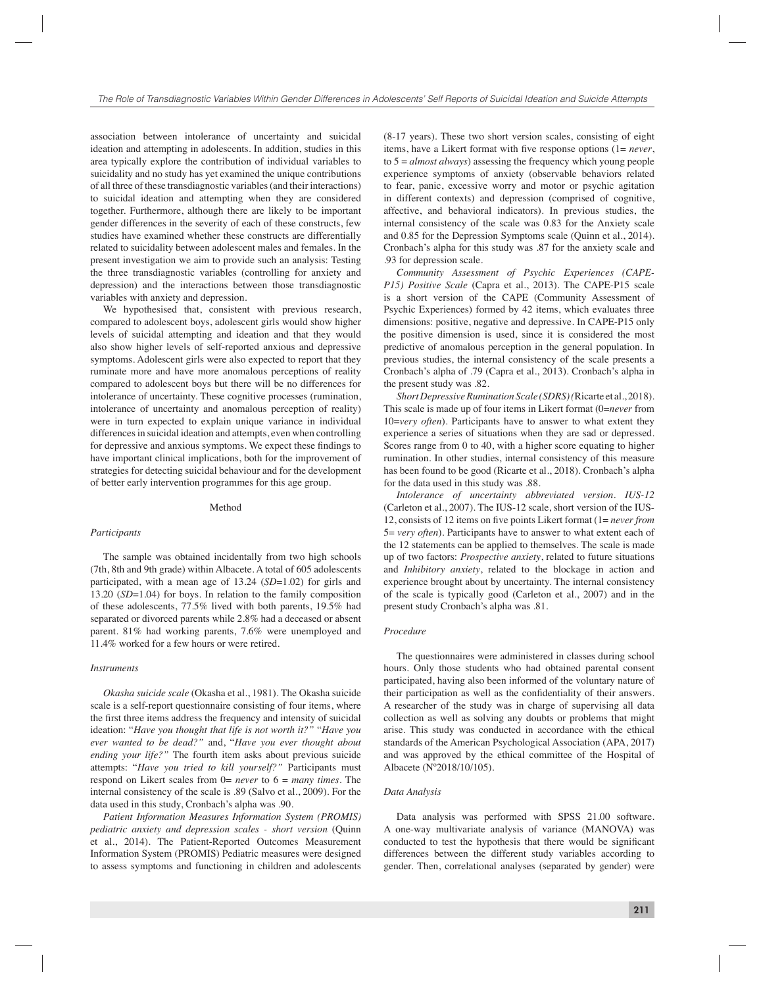association between intolerance of uncertainty and suicidal ideation and attempting in adolescents. In addition, studies in this area typically explore the contribution of individual variables to suicidality and no study has yet examined the unique contributions of all three of these transdiagnostic variables (and their interactions) to suicidal ideation and attempting when they are considered together. Furthermore, although there are likely to be important gender differences in the severity of each of these constructs, few studies have examined whether these constructs are differentially related to suicidality between adolescent males and females. In the present investigation we aim to provide such an analysis: Testing the three transdiagnostic variables (controlling for anxiety and depression) and the interactions between those transdiagnostic variables with anxiety and depression.

We hypothesised that, consistent with previous research, compared to adolescent boys, adolescent girls would show higher levels of suicidal attempting and ideation and that they would also show higher levels of self-reported anxious and depressive symptoms. Adolescent girls were also expected to report that they ruminate more and have more anomalous perceptions of reality compared to adolescent boys but there will be no differences for intolerance of uncertainty. These cognitive processes (rumination, intolerance of uncertainty and anomalous perception of reality) were in turn expected to explain unique variance in individual differences in suicidal ideation and attempts, even when controlling for depressive and anxious symptoms. We expect these findings to have important clinical implications, both for the improvement of strategies for detecting suicidal behaviour and for the development of better early intervention programmes for this age group.

#### Method

#### *Participants*

The sample was obtained incidentally from two high schools (7th, 8th and 9th grade) within Albacete. A total of 605 adolescents participated, with a mean age of 13.24 (*SD*=1.02) for girls and 13.20 (*SD*=1.04) for boys. In relation to the family composition of these adolescents, 77.5% lived with both parents, 19.5% had separated or divorced parents while 2.8% had a deceased or absent parent. 81% had working parents, 7.6% were unemployed and 11.4% worked for a few hours or were retired.

#### *Instruments*

*Okasha suicide scale* (Okasha et al., 1981). The Okasha suicide scale is a self-report questionnaire consisting of four items, where the first three items address the frequency and intensity of suicidal ideation: "*Have you thought that life is not worth it?"* "*Have you ever wanted to be dead?"* and, "*Have you ever thought about ending your life?"* The fourth item asks about previous suicide attempts: "*Have you tried to kill yourself?"* Participants must respond on Likert scales from 0= *never* to 6 = *many times*. The internal consistency of the scale is .89 (Salvo et al., 2009). For the data used in this study, Cronbach's alpha was .90.

*Patient Information Measures Information System (PROMIS) pediatric anxiety and depression scales - short version* (Quinn et al., 2014). The Patient-Reported Outcomes Measurement Information System (PROMIS) Pediatric measures were designed to assess symptoms and functioning in children and adolescents

(8-17 years). These two short version scales, consisting of eight items, have a Likert format with five response options (1= *never*, to 5 = *almost always*) assessing the frequency which young people experience symptoms of anxiety (observable behaviors related to fear, panic, excessive worry and motor or psychic agitation in different contexts) and depression (comprised of cognitive, affective, and behavioral indicators). In previous studies, the internal consistency of the scale was 0.83 for the Anxiety scale and 0.85 for the Depression Symptoms scale (Quinn et al., 2014). Cronbach's alpha for this study was .87 for the anxiety scale and .93 for depression scale.

*Community Assessment of Psychic Experiences (CAPE-P15) Positive Scale* (Capra et al., 2013). The CAPE-P15 scale is a short version of the CAPE (Community Assessment of Psychic Experiences) formed by 42 items, which evaluates three dimensions: positive, negative and depressive. In CAPE-P15 only the positive dimension is used, since it is considered the most predictive of anomalous perception in the general population. In previous studies, the internal consistency of the scale presents a Cronbach's alpha of .79 (Capra et al., 2013). Cronbach's alpha in the present study was .82.

*Short Depressive Rumination Scale (SDRS) (*Ricarte et al., 2018). This scale is made up of four items in Likert format (0=*never* from 10=*very often*). Participants have to answer to what extent they experience a series of situations when they are sad or depressed. Scores range from 0 to 40, with a higher score equating to higher rumination. In other studies, internal consistency of this measure has been found to be good (Ricarte et al., 2018). Cronbach's alpha for the data used in this study was .88.

*Intolerance of uncertainty abbreviated version. IUS-12*  (Carleton et al., 2007). The IUS-12 scale, short version of the IUS-12, consists of 12 items on five points Likert format (1= *never from* 5= *very often*). Participants have to answer to what extent each of the 12 statements can be applied to themselves. The scale is made up of two factors: *Prospective anxiety*, related to future situations and *Inhibitory anxiety*, related to the blockage in action and experience brought about by uncertainty. The internal consistency of the scale is typically good (Carleton et al., 2007) and in the present study Cronbach's alpha was .81.

#### *Procedure*

The questionnaires were administered in classes during school hours. Only those students who had obtained parental consent participated, having also been informed of the voluntary nature of their participation as well as the confidentiality of their answers. A researcher of the study was in charge of supervising all data collection as well as solving any doubts or problems that might arise. This study was conducted in accordance with the ethical standards of the American Psychological Association (APA, 2017) and was approved by the ethical committee of the Hospital of Albacete (Nº2018/10/105).

#### *Data Analysis*

Data analysis was performed with SPSS 21.00 software. A one-way multivariate analysis of variance (MANOVA) was conducted to test the hypothesis that there would be significant differences between the different study variables according to gender. Then, correlational analyses (separated by gender) were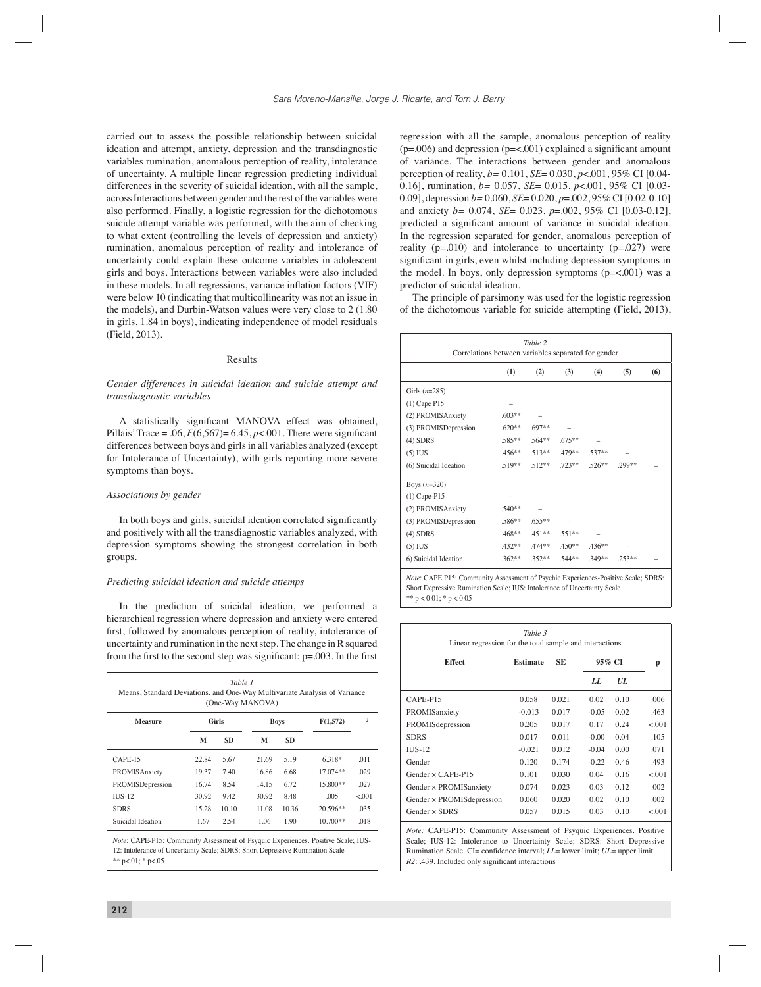carried out to assess the possible relationship between suicidal ideation and attempt, anxiety, depression and the transdiagnostic variables rumination, anomalous perception of reality, intolerance of uncertainty. A multiple linear regression predicting individual differences in the severity of suicidal ideation, with all the sample, across Interactions between gender and the rest of the variables were also performed. Finally, a logistic regression for the dichotomous suicide attempt variable was performed, with the aim of checking to what extent (controlling the levels of depression and anxiety) rumination, anomalous perception of reality and intolerance of uncertainty could explain these outcome variables in adolescent girls and boys. Interactions between variables were also included in these models. In all regressions, variance inflation factors (VIF) were below 10 (indicating that multicollinearity was not an issue in the models), and Durbin-Watson values were very close to 2 (1.80 in girls, 1.84 in boys), indicating independence of model residuals (Field, 2013).

#### Results

#### *Gender differences in suicidal ideation and suicide attempt and transdiagnostic variables*

A statistically significant MANOVA effect was obtained, Pillais' Trace = .06,  $F(6,567) = 6.45$ ,  $p < .001$ . There were significant differences between boys and girls in all variables analyzed (except for Intolerance of Uncertainty), with girls reporting more severe symptoms than boys.

### *Associations by gender*

In both boys and girls, suicidal ideation correlated significantly and positively with all the transdiagnostic variables analyzed, with depression symptoms showing the strongest correlation in both groups.

#### *Predicting suicidal ideation and suicide attemps*

In the prediction of suicidal ideation, we performed a hierarchical regression where depression and anxiety were entered first, followed by anomalous perception of reality, intolerance of uncertainty and rumination in the next step. The change in R squared from the first to the second step was significant:  $p = .003$ . In the first

| <b>Measure</b>    | Girls<br><b>Boys</b> |           |       | F(1,572)  | $\mathfrak{D}$ |        |
|-------------------|----------------------|-----------|-------|-----------|----------------|--------|
|                   | M                    | <b>SD</b> | М     | <b>SD</b> |                |        |
| $CAPE-15$         | 22.84                | 5.67      | 21.69 | 5.19      | 6.318*         | .011   |
| PROMISAnxiety     | 19.37                | 7.40      | 16.86 | 6.68      | 17.074**       | .029   |
| PROMISDepression  | 16.74                | 8.54      | 14.15 | 6.72      | 15.800**       | .027   |
| $IUS-12$          | 30.92                | 9.42      | 30.92 | 8.48      | .005           | < 0.01 |
| <b>SDRS</b>       | 15.28                | 10.10     | 11.08 | 10.36     | $20.596**$     | .035   |
| Suicidal Ideation | 1.67                 | 2.54      | 1.06  | 1.90      | $10.700**$     | .018   |

regression with all the sample, anomalous perception of reality  $(p=0.006)$  and depression  $(p=<.001)$  explained a significant amount of variance. The interactions between gender and anomalous perception of reality, *b=* 0.101, *SE*= 0.030, *p*<.001, 95% CI [0.04- 0.16], rumination, *b=* 0.057, *SE*= 0.015, *p*<.001, 95% CI [0.03- 0.09], depression *b=* 0.060, *SE*= 0.020, *p*=.002, 95% CI [0.02-0.10] and anxiety *b=* 0.074, *SE*= 0.023, *p*=.002, 95% CI [0.03-0.12], predicted a significant amount of variance in suicidal ideation. In the regression separated for gender, anomalous perception of reality ( $p=.010$ ) and intolerance to uncertainty ( $p=.027$ ) were significant in girls, even whilst including depression symptoms in the model. In boys, only depression symptoms (p=<.001) was a predictor of suicidal ideation.

The principle of parsimony was used for the logistic regression of the dichotomous variable for suicide attempting (Field, 2013),

| Table 2<br>Correlations between variables separated for gender |          |           |           |          |          |     |  |
|----------------------------------------------------------------|----------|-----------|-----------|----------|----------|-----|--|
|                                                                | (1)      | (2)       | (3)       | (4)      | (5)      | (6) |  |
| Girls $(n=285)$                                                |          |           |           |          |          |     |  |
| $(1)$ Cape P15                                                 |          |           |           |          |          |     |  |
| (2) PROMISAnxiety                                              | $.603**$ |           |           |          |          |     |  |
| (3) PROMISDepression                                           | $.620**$ | $.697**$  |           |          |          |     |  |
| $(4)$ SDRS                                                     | .585**   | .564**    | $.675***$ |          |          |     |  |
| $(5)$ IUS                                                      | $456**$  | $.513**$  | .479**    | $.537**$ |          |     |  |
| (6) Suicidal Ideation                                          | $.519**$ | $.512**$  | $.723**$  | $.526**$ | .299**   |     |  |
| Boys $(n=320)$                                                 |          |           |           |          |          |     |  |
| $(1)$ Cape-P15                                                 |          |           |           |          |          |     |  |
| (2) PROMISAnxiety                                              | .540**   |           |           |          |          |     |  |
| (3) PROMISDepression                                           | .586**   | $.655***$ |           |          |          |     |  |
| $(4)$ SDRS                                                     | .468**   | $.451**$  | $.551**$  |          |          |     |  |
| $(5)$ IUS                                                      | $.432**$ | .474**    | $.450**$  | $.436**$ |          |     |  |
| 6) Suicidal Ideation                                           | $.362**$ | $.352**$  | $.544**$  | $.349**$ | $.253**$ |     |  |

*Note*: CAPE P15: Community Assessment of Psychic Experiences-Positive Scale; SDRS: Short Depressive Rumination Scale; IUS: Intolerance of Uncertainty Scale \*\*  $p < 0.01$ ; \*  $p < 0.05$ 

| Table 3<br>Linear regression for the total sample and interactions                                                                                                                                                                                                                     |                 |           |         |      |        |  |  |
|----------------------------------------------------------------------------------------------------------------------------------------------------------------------------------------------------------------------------------------------------------------------------------------|-----------------|-----------|---------|------|--------|--|--|
| <b>Effect</b>                                                                                                                                                                                                                                                                          | <b>Estimate</b> | <b>SE</b> | 95% CI  |      | p      |  |  |
|                                                                                                                                                                                                                                                                                        |                 |           | LL.     | UL   |        |  |  |
| CAPE-P15                                                                                                                                                                                                                                                                               | 0.058           | 0.021     | 0.02    | 0.10 | .006   |  |  |
| PROMISanxiety                                                                                                                                                                                                                                                                          | $-0.013$        | 0.017     | $-0.05$ | 0.02 | .463   |  |  |
| PROMISdepression                                                                                                                                                                                                                                                                       | 0.205           | 0.017     | 0.17    | 0.24 | < 0.01 |  |  |
| <b>SDRS</b>                                                                                                                                                                                                                                                                            | 0.017           | 0.011     | $-0.00$ | 0.04 | .105   |  |  |
| $\Pi$ <sub>JS-12</sub>                                                                                                                                                                                                                                                                 | $-0.021$        | 0.012     | $-0.04$ | 0.00 | .071   |  |  |
| Gender                                                                                                                                                                                                                                                                                 | 0.120           | 0.174     | $-0.22$ | 0.46 | .493   |  |  |
| Gender $\times$ CAPE-P15                                                                                                                                                                                                                                                               | 0.101           | 0.030     | 0.04    | 0.16 | < 0.01 |  |  |
| Gender × PROMISanxiety                                                                                                                                                                                                                                                                 | 0.074           | 0.023     | 0.03    | 0.12 | .002   |  |  |
| Gender × PROMIS depression                                                                                                                                                                                                                                                             | 0.060           | 0.020     | 0.02    | 0.10 | .002   |  |  |
| Gender x SDRS                                                                                                                                                                                                                                                                          | 0.057           | 0.015     | 0.03    | 0.10 | < 0.01 |  |  |
| Note: CAPE-P15: Community Assessment of Psyquic Experiences. Positive<br>Scale; IUS-12: Intolerance to Uncertainty Scale; SDRS: Short Depressive<br>Rumination Scale. CI= confidence interval; LL= lower limit; UL= upper limit<br>$R2: .439$ . Included only significant interactions |                 |           |         |      |        |  |  |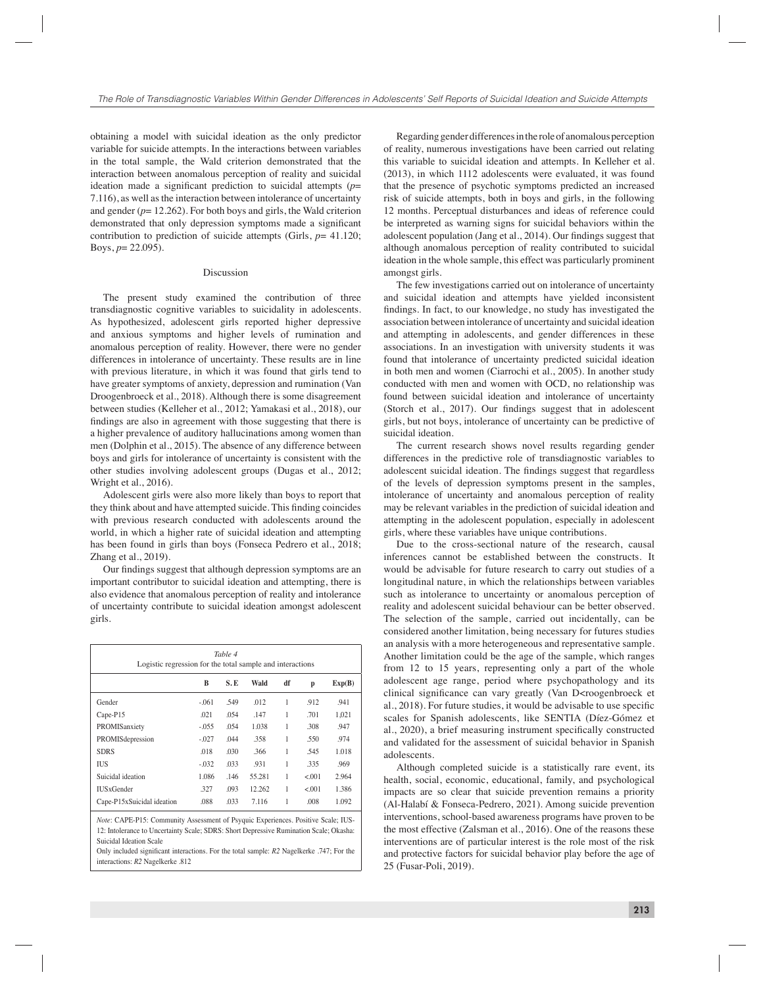obtaining a model with suicidal ideation as the only predictor variable for suicide attempts. In the interactions between variables in the total sample, the Wald criterion demonstrated that the interaction between anomalous perception of reality and suicidal ideation made a significant prediction to suicidal attempts  $(p=$ 7.116), as well as the interaction between intolerance of uncertainty and gender  $(p= 12.262)$ . For both boys and girls, the Wald criterion demonstrated that only depression symptoms made a significant contribution to prediction of suicide attempts (Girls,  $p = 41.120$ ; Boys, *p*= 22.095).

#### Discussion

The present study examined the contribution of three transdiagnostic cognitive variables to suicidality in adolescents. As hypothesized, adolescent girls reported higher depressive and anxious symptoms and higher levels of rumination and anomalous perception of reality. However, there were no gender differences in intolerance of uncertainty. These results are in line with previous literature, in which it was found that girls tend to have greater symptoms of anxiety, depression and rumination (Van Droogenbroeck et al., 2018). Although there is some disagreement between studies (Kelleher et al., 2012; Yamakasi et al., 2018), our findings are also in agreement with those suggesting that there is a higher prevalence of auditory hallucinations among women than men (Dolphin et al., 2015). The absence of any difference between boys and girls for intolerance of uncertainty is consistent with the other studies involving adolescent groups (Dugas et al., 2012; Wright et al., 2016).

Adolescent girls were also more likely than boys to report that they think about and have attempted suicide. This finding coincides with previous research conducted with adolescents around the world, in which a higher rate of suicidal ideation and attempting has been found in girls than boys (Fonseca Pedrero et al., 2018; Zhang et al., 2019).

Our findings suggest that although depression symptoms are an important contributor to suicidal ideation and attempting, there is also evidence that anomalous perception of reality and intolerance of uncertainty contribute to suicidal ideation amongst adolescent girls.

| Table 4<br>Logistic regression for the total sample and interactions |         |      |        |    |        |        |  |
|----------------------------------------------------------------------|---------|------|--------|----|--------|--------|--|
|                                                                      | B       | S.E  | Wald   | df | p      | Exp(B) |  |
| Gender                                                               | $-.061$ | .549 | .012   | 1  | .912   | .941   |  |
| Cape-P15                                                             | .021    | .054 | .147   | 1  | .701   | 1.021  |  |
| PROMISanxiety                                                        | $-.055$ | .054 | 1.038  | 1  | .308   | .947   |  |
| PROMISdepression                                                     | $-.027$ | .044 | .358   | 1  | .550   | .974   |  |
| <b>SDRS</b>                                                          | .018    | .030 | .366   | 1  | .545   | 1.018  |  |
| IUS                                                                  | $-.032$ | .033 | .931   | 1  | 335    | .969   |  |
| Suicidal ideation                                                    | 1.086   | .146 | 55.281 | 1  | < 0.01 | 2.964  |  |
| <b>IUS</b> xGender                                                   | .327    | .093 | 12.262 | 1  | < 0.01 | 1.386  |  |
| Cape-P15xSuicidal ideation                                           | .088    | .033 | 7.116  |    | .008   | 1.092  |  |

*Note*: CAPE-P15: Community Assessment of Psyquic Experiences. Positive Scale; IUS-12: Intolerance to Uncertainty Scale; SDRS: Short Depressive Rumination Scale; Okasha: Suicidal Ideation Scale

Only included significant interactions. For the total sample: *R2* Nagelkerke .747; For the interactions: *R2* Nagelkerke .812

Regarding gender differences in the role of anomalous perception of reality, numerous investigations have been carried out relating this variable to suicidal ideation and attempts. In Kelleher et al. (2013), in which 1112 adolescents were evaluated, it was found that the presence of psychotic symptoms predicted an increased risk of suicide attempts, both in boys and girls, in the following 12 months. Perceptual disturbances and ideas of reference could be interpreted as warning signs for suicidal behaviors within the adolescent population (Jang et al., 2014). Our findings suggest that although anomalous perception of reality contributed to suicidal ideation in the whole sample, this effect was particularly prominent amongst girls.

The few investigations carried out on intolerance of uncertainty and suicidal ideation and attempts have yielded inconsistent findings. In fact, to our knowledge, no study has investigated the association between intolerance of uncertainty and suicidal ideation and attempting in adolescents, and gender differences in these associations. In an investigation with university students it was found that intolerance of uncertainty predicted suicidal ideation in both men and women (Ciarrochi et al., 2005). In another study conducted with men and women with OCD, no relationship was found between suicidal ideation and intolerance of uncertainty (Storch et al., 2017). Our findings suggest that in adolescent girls, but not boys, intolerance of uncertainty can be predictive of suicidal ideation.

The current research shows novel results regarding gender differences in the predictive role of transdiagnostic variables to adolescent suicidal ideation. The findings suggest that regardless of the levels of depression symptoms present in the samples, intolerance of uncertainty and anomalous perception of reality may be relevant variables in the prediction of suicidal ideation and attempting in the adolescent population, especially in adolescent girls, where these variables have unique contributions.

Due to the cross-sectional nature of the research, causal inferences cannot be established between the constructs. It would be advisable for future research to carry out studies of a longitudinal nature, in which the relationships between variables such as intolerance to uncertainty or anomalous perception of reality and adolescent suicidal behaviour can be better observed. The selection of the sample, carried out incidentally, can be considered another limitation, being necessary for futures studies an analysis with a more heterogeneous and representative sample. Another limitation could be the age of the sample, which ranges from 12 to 15 years, representing only a part of the whole adolescent age range, period where psychopathology and its clinical significance can vary greatly (Van D<roogenbroeck et al., 2018). For future studies, it would be advisable to use specific scales for Spanish adolescents, like SENTIA (Díez-Gómez et al., 2020), a brief measuring instrument specifically constructed and validated for the assessment of suicidal behavior in Spanish adolescents.

Although completed suicide is a statistically rare event, its health, social, economic, educational, family, and psychological impacts are so clear that suicide prevention remains a priority (Al-Halabí & Fonseca-Pedrero, 2021). Among suicide prevention interventions, school-based awareness programs have proven to be the most effective (Zalsman et al., 2016). One of the reasons these interventions are of particular interest is the role most of the risk and protective factors for suicidal behavior play before the age of 25 (Fusar-Poli, 2019).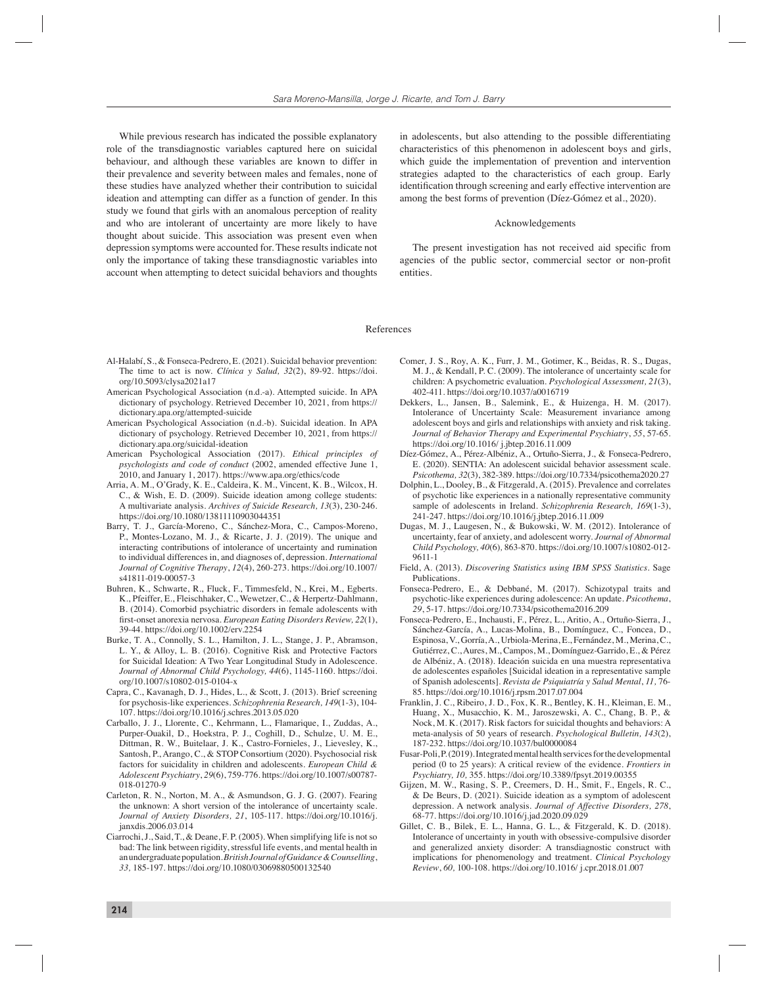While previous research has indicated the possible explanatory role of the transdiagnostic variables captured here on suicidal behaviour, and although these variables are known to differ in their prevalence and severity between males and females, none of these studies have analyzed whether their contribution to suicidal ideation and attempting can differ as a function of gender. In this study we found that girls with an anomalous perception of reality and who are intolerant of uncertainty are more likely to have thought about suicide. This association was present even when depression symptoms were accounted for. These results indicate not only the importance of taking these transdiagnostic variables into account when attempting to detect suicidal behaviors and thoughts in adolescents, but also attending to the possible differentiating characteristics of this phenomenon in adolescent boys and girls, which guide the implementation of prevention and intervention strategies adapted to the characteristics of each group. Early identification through screening and early effective intervention are among the best forms of prevention (Díez-Gómez et al., 2020).

### Acknowledgements

The present investigation has not received aid specific from agencies of the public sector, commercial sector or non-profit entities.

#### References

- Al-Halabí, S., & Fonseca-Pedrero, E. (2021). Suicidal behavior prevention: The time to act is now. *Clínica y Salud, 32*(2), 89-92. https://doi. org/10.5093/clysa2021a17
- American Psychological Association (n.d.-a). Attempted suicide. In APA dictionary of psychology. Retrieved December 10, 2021, from https:// dictionary.apa.org/attempted-suicide
- American Psychological Association (n.d.-b). Suicidal ideation. In APA dictionary of psychology. Retrieved December 10, 2021, from https:// dictionary.apa.org/suicidal-ideation
- American Psychological Association (2017). *Ethical principles of psychologists and code of conduct* (2002, amended effective June 1, 2010, and January 1, 2017). https://www.apa.org/ethics/code
- Arria, A. M., O'Grady, K. E., Caldeira, K. M., Vincent, K. B., Wilcox, H. C., & Wish, E. D. (2009). Suicide ideation among college students: A multivariate analysis. *Archives of Suicide Research, 13*(3), 230-246. https://doi.org/10.1080/13811110903044351
- Barry, T. J., García-Moreno, C., Sánchez-Mora, C., Campos-Moreno, P., Montes-Lozano, M. J., & Ricarte, J. J. (2019). The unique and interacting contributions of intolerance of uncertainty and rumination to individual differences in, and diagnoses of, depression. *International Journal of Cognitive Therapy*, *12*(4), 260-273. https://doi.org/10.1007/ s41811-019-00057-3
- Buhren, K., Schwarte, R., Fluck, F., Timmesfeld, N., Krei, M., Egberts. K., Pfeiffer, E., Fleischhaker, C., Wewetzer, C., & Herpertz-Dahlmann, B. (2014). Comorbid psychiatric disorders in female adolescents with first-onset anorexia nervosa. *European Eating Disorders Review*, 22(1), 39-44. https://doi.org/10.1002/erv.2254
- Burke, T. A., Connolly, S. L., Hamilton, J. L., Stange, J. P., Abramson, L. Y., & Alloy, L. B. (2016). Cognitive Risk and Protective Factors for Suicidal Ideation: A Two Year Longitudinal Study in Adolescence. *Journal of Abnormal Child Psychology, 44*(6), 1145-1160. https://doi. org/10.1007/s10802-015-0104-x
- Capra, C., Kavanagh, D. J., Hides, L., & Scott, J. (2013). Brief screening for psychosis-like experiences. *Schizophrenia Research, 149*(1-3), 104- 107. https://doi.org/10.1016/j.schres.2013.05.020
- Carballo, J. J., Llorente, C., Kehrmann, L., Flamarique, I., Zuddas, A., Purper-Ouakil, D., Hoekstra, P. J., Coghill, D., Schulze, U. M. E., Dittman, R. W., Buitelaar, J. K., Castro-Fornieles, J., Lievesley, K., Santosh, P., Arango, C., & STOP Consortium (2020). Psychosocial risk factors for suicidality in children and adolescents. *European Child & Adolescent Psychiatry*, *29*(6), 759-776. https://doi.org/10.1007/s00787- 018-01270-9
- Carleton, R. N., Norton, M. A., & Asmundson, G. J. G. (2007). Fearing the unknown: A short version of the intolerance of uncertainty scale. *Journal of Anxiety Disorders, 21*, 105-117. https://doi.org/10.1016/j. janxdis.2006.03.014
- Ciarrochi, J., Said, T., & Deane, F. P. (2005). When simplifying life is not so bad: The link between rigidity, stressful life events, and mental health in an undergraduate population. *British Journal of Guidance & Counselling*, *33,* 185-197. https://doi.org/10.1080/03069880500132540
- Comer, J. S., Roy, A. K., Furr, J. M., Gotimer, K., Beidas, R. S., Dugas, M. J., & Kendall, P. C. (2009). The intolerance of uncertainty scale for children: A psychometric evaluation. *Psychological Assessment, 21*(3), 402-411. https://doi.org/10.1037/a0016719
- Dekkers, L., Jansen, B., Salemink, E., & Huizenga, H. M. (2017). Intolerance of Uncertainty Scale: Measurement invariance among adolescent boys and girls and relationships with anxiety and risk taking. *Journal of Behavior Therapy and Experimental Psychiatry*, *55*, 57-65. https://doi.org/10.1016/ j.jbtep.2016.11.009
- Díez-Gómez, A., Pérez-Albéniz, A., Ortuño-Sierra, J., & Fonseca-Pedrero, E. (2020). SENTIA: An adolescent suicidal behavior assessment scale. *Psicothema, 32*(3), 382-389. https://doi.org/10.7334/psicothema2020.27
- Dolphin, L., Dooley, B., & Fitzgerald, A. (2015). Prevalence and correlates of psychotic like experiences in a nationally representative community sample of adolescents in Ireland*. Schizophrenia Research, 169*(1-3), 241-247*.* https://doi.org/10.1016/j.jbtep.2016.11.009
- Dugas, M. J., Laugesen, N., & Bukowski, W. M. (2012). Intolerance of uncertainty, fear of anxiety, and adolescent worry. *Journal of Abnormal Child Psychology, 40*(6)*,* 863-870. https://doi.org/10.1007/s10802-012- 9611-1
- Field, A. (2013). *Discovering Statistics using IBM SPSS Statistics*. Sage Publications.
- Fonseca-Pedrero, E., & Debbané, M. (2017). Schizotypal traits and psychotic-like experiences during adolescence: An update. *Psicothema*, *29*, 5-17. https://doi.org/10.7334/psicothema2016.209
- Fonseca-Pedrero, E., Inchausti, F., Pérez, L., Aritio, A., Ortuño-Sierra, J., Sánchez-García, A., Lucas-Molina, B., Domínguez, C., Foncea, D., Espinosa, V., Gorría, A., Urbiola-Merina, E., Fernández, M., Merina, C., Gutiérrez, C., Aures, M., Campos, M., Domínguez-Garrido, E., & Pérez de Albéniz, A. (2018). Ideación suicida en una muestra representativa de adolescentes españoles [Suicidal ideation in a representative sample of Spanish adolescents]. *Revista de Psiquiatría y Salud Mental*, *11,* 76- 85. https://doi.org/10.1016/j.rpsm.2017.07.004
- Franklin, J. C., Ribeiro, J. D., Fox, K. R., Bentley, K. H., Kleiman, E. M., Huang, X., Musacchio, K. M., Jaroszewski, A. C., Chang, B. P., & Nock, M. K. (2017). Risk factors for suicidal thoughts and behaviors: A meta-analysis of 50 years of research. *Psychological Bulletin, 143*(2), 187-232. https://doi.org/10.1037/bul0000084
- Fusar-Poli, P. (2019). Integrated mental health services for the developmental period (0 to 25 years): A critical review of the evidence. *Frontiers in Psychiatry, 10,* 355. https://doi.org/10.3389/fpsyt.2019.00355
- Gijzen, M. W., Rasing, S. P., Creemers, D. H., Smit, F., Engels, R. C., & De Beurs, D. (2021). Suicide ideation as a symptom of adolescent depression. A network analysis. *Journal of Affective Disorders, 278*, 68-77. https://doi.org/10.1016/j.jad.2020.09.029
- Gillet, C. B., Bilek, E. L., Hanna, G. L., & Fitzgerald, K. D. (2018). Intolerance of uncertainty in youth with obsessive-compulsive disorder and generalized anxiety disorder: A transdiagnostic construct with implications for phenomenology and treatment. *Clinical Psychology Review*, *60,* 100-108. https://doi.org/10.1016/ j.cpr.2018.01.007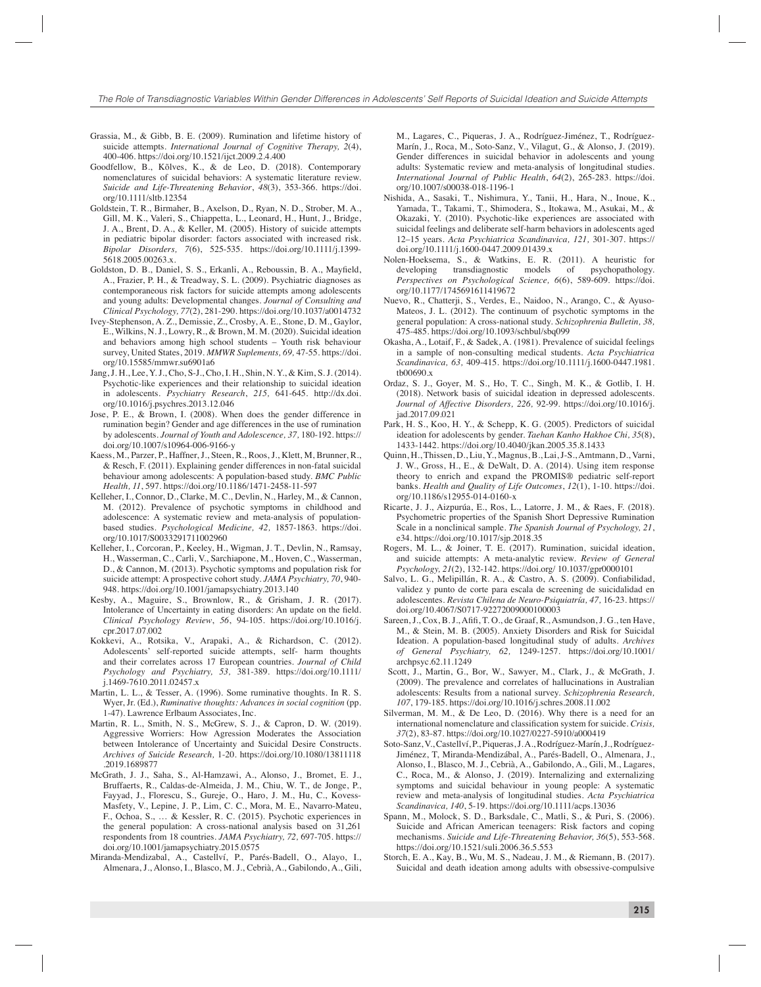- Grassia, M., & Gibb, B. E. (2009). Rumination and lifetime history of suicide attempts. *International Journal of Cognitive Therapy, 2*(4), 400-406. https://doi.org/10.1521/ijct.2009.2.4.400
- Goodfellow, B., Kõlves, K., & de Leo, D. (2018). Contemporary nomenclatures of suicidal behaviors: A systematic literature review. *Suicide and Life-Threatening Behavior*, *48*(3), 353-366. https://doi. org/10.1111/sltb.12354
- Goldstein, T. R., Birmaher, B., Axelson, D., Ryan, N. D., Strober, M. A., Gill, M. K., Valeri, S., Chiappetta, L., Leonard, H., Hunt, J., Bridge, J. A., Brent, D. A., & Keller, M. (2005). History of suicide attempts in pediatric bipolar disorder: factors associated with increased risk. *Bipolar Disorders, 7*(6), 525-535. https://doi.org/10.1111/j.1399- 5618.2005.00263.x.
- Goldston, D. B., Daniel, S. S., Erkanli, A., Reboussin, B. A., Mayfield, A., Frazier, P. H., & Treadway, S. L. (2009). Psychiatric diagnoses as contemporaneous risk factors for suicide attempts among adolescents and young adults: Developmental changes. *Journal of Consulting and Clinical Psychology, 77*(2), 281-290. https://doi.org/10.1037/a0014732
- Ivey-Stephenson, A. Z., Demissie, Z., Crosby, A. E., Stone, D. M., Gaylor, E., Wilkins, N. J., Lowry, R., & Brown, M. M. (2020). Suicidal ideation and behaviors among high school students – Youth risk behaviour survey, United States, 2019. *MMWR Suplements, 69,* 47-55. https://doi. org/10.15585/mmwr.su6901a6
- Jang, J. H., Lee, Y. J., Cho, S-J., Cho, I. H., Shin, N. Y., & Kim, S. J. (2014). Psychotic-like experiences and their relationship to suicidal ideation in adolescents. *Psychiatry Research*, *215,* 641-645. http://dx.doi. org/10.1016/j.psychres.2013.12.046
- Jose, P. E., & Brown, I. (2008). When does the gender difference in rumination begin? Gender and age differences in the use of rumination by adolescents. *Journal of Youth and Adolescence, 37,* 180-192. https:// doi.org/10.1007/s10964-006-9166-y
- Kaess, M., Parzer, P., Haffner, J., Steen, R., Roos, J., Klett, M, Brunner, R., & Resch, F. (2011). Explaining gender differences in non-fatal suicidal behaviour among adolescents: A population-based study. *BMC Public Health, 11*, 597. https://doi.org/10.1186/1471-2458-11-597
- Kelleher, I., Connor, D., Clarke, M. C., Devlin, N., Harley, M., & Cannon, M. (2012). Prevalence of psychotic symptoms in childhood and adolescence: A systematic review and meta-analysis of populationbased studies. *Psychological Medicine, 42,* 1857-1863. https://doi. org/10.1017/S0033291711002960
- Kelleher, I., Corcoran, P., Keeley, H., Wigman, J. T., Devlin, N., Ramsay, H., Wasserman, C., Carli, V., Sarchiapone, M., Hoven, C., Wasserman, D., & Cannon, M. (2013). Psychotic symptoms and population risk for suicide attempt: A prospective cohort study. *JAMA Psychiatry, 70*, 940- 948. https://doi.org/10.1001/jamapsychiatry.2013.140
- Kesby, A., Maguire, S., Brownlow, R., & Grisham, J. R. (2017). Intolerance of Uncertainty in eating disorders: An update on the field. *Clinical Psychology Review*, *56*, 94-105. https://doi.org/10.1016/j. cpr.2017.07.002
- Kokkevi, A., Rotsika, V., Arapaki, A., & Richardson, C. (2012). Adolescents' self-reported suicide attempts, self- harm thoughts and their correlates across 17 European countries. *Journal of Child Psychology and Psychiatry, 53,* 381-389. https://doi.org/10.1111/ j.1469-7610.2011.02457.x
- Martin, L. L., & Tesser, A. (1996). Some ruminative thoughts. In R. S. Wyer, Jr. (Ed.), *Ruminative thoughts: Advances in social cognition* (pp. 1-47). Lawrence Erlbaum Associates, Inc.
- Martin, R. L., Smith, N. S., McGrew, S. J., & Capron, D. W. (2019). Aggressive Worriers: How Agression Moderates the Association between Intolerance of Uncertainty and Suicidal Desire Constructs. *Archives of Suicide Research,* 1-20. https://doi.org/10.1080/13811118 .2019.1689877
- McGrath, J. J., Saha, S., Al-Hamzawi, A., Alonso, J., Bromet, E. J., Bruffaerts, R., Caldas-de-Almeida, J. M., Chiu, W. T., de Jonge, P., Fayyad, J., Florescu, S., Gureje, O., Haro, J. M., Hu, C., Kovess-Masfety, V., Lepine, J. P., Lim, C. C., Mora, M. E., Navarro-Mateu, F., Ochoa, S., … & Kessler, R. C. (2015). Psychotic experiences in the general population: A cross-national analysis based on 31,261 respondents from 18 countries. *JAMA Psychiatry, 72,* 697-705. https:// doi.org/10.1001/jamapsychiatry.2015.0575
- Miranda-Mendizabal, A., Castellví, P., Parés-Badell, O., Alayo, I., Almenara, J., Alonso, I., Blasco, M. J., Cebrià, A., Gabilondo, A., Gili,

M., Lagares, C., Piqueras, J. A., Rodríguez-Jiménez, T., Rodríguez-Marín, J., Roca, M., Soto-Sanz, V., Vilagut, G., & Alonso, J. (2019). Gender differences in suicidal behavior in adolescents and young adults: Systematic review and meta-analysis of longitudinal studies. *International Journal of Public Health*, *64*(2), 265-283. https://doi. org/10.1007/s00038-018-1196-1

- Nishida, A., Sasaki, T., Nishimura, Y., Tanii, H., Hara, N., Inoue, K., Yamada, T., Takami, T., Shimodera, S., Itokawa, M., Asukai, M., & Okazaki, Y. (2010). Psychotic-like experiences are associated with suicidal feelings and deliberate self-harm behaviors in adolescents aged 12–15 years. *Acta Psychiatrica Scandinavica, 121,* 301-307. https:// doi.org/10.1111/j.1600-0447.2009.01439.x
- Nolen-Hoeksema, S., & Watkins, E. R. (2011). A heuristic for developing transdiagnostic models of psychopathology. *Perspectives on Psychological Science, 6*(6), 589-609. https://doi. org/10.1177/1745691611419672
- Nuevo, R., Chatterji, S., Verdes, E., Naidoo, N., Arango, C., & Ayuso-Mateos, J. L. (2012). The continuum of psychotic symptoms in the general population: A cross-national study. *Schizophrenia Bulletin, 38,* 475-485. https://doi.org/10.1093/schbul/sbq099
- Okasha, A., Lotaif, F., & Sadek, A. (1981). Prevalence of suicidal feelings in a sample of non-consulting medical students. *Acta Psychiatrica Scandinavica, 63,* 409-415. https://doi.org/10.1111/j.1600-0447.1981. tb00690.x
- Ordaz, S. J., Goyer, M. S., Ho, T. C., Singh, M. K., & Gotlib, I. H. (2018). Network basis of suicidal ideation in depressed adolescents. *Journal of Affective Disorders, 226,* 92-99. https://doi.org/10.1016/j. jad.2017.09.021
- Park, H. S., Koo, H. Y., & Schepp, K. G. (2005). Predictors of suicidal ideation for adolescents by gender. *Taehan Kanho Hakhoe Chi, 35*(8), 1433-1442. https://doi.org/10.4040/jkan.2005.35.8.1433
- Quinn, H., Thissen, D., Liu, Y., Magnus, B., Lai, J-S., Amtmann, D., Varni, J. W., Gross, H., E., & DeWalt, D. A. (2014). Using item response theory to enrich and expand the PROMIS® pediatric self-report banks. *Health and Quality of Life Outcomes*, *12*(1), 1-10. https://doi. org/10.1186/s12955-014-0160-x
- Ricarte, J. J., Aizpurúa, E., Ros, L., Latorre, J. M., & Raes, F. (2018). Psychometric properties of the Spanish Short Depressive Rumination Scale in a nonclinical sample. *The Spanish Journal of Psychology, 21*, e34. https://doi.org/10.1017/sjp.2018.35
- Rogers, M. L., & Joiner, T. E. (2017). Rumination, suicidal ideation, and suicide attempts: A meta-analytic review. *Review of General Psychology, 21*(2), 132-142. https://doi.org/ 10.1037/gpr0000101
- Salvo, L. G., Melipillán, R. A., & Castro, A. S. (2009). Confiabilidad, validez y punto de corte para escala de screening de suicidalidad en adolescentes. *Revista Chilena de Neuro-Psiquiatría, 47,* 16-23. https:// doi.org/10.4067/S0717-92272009000100003
- Sareen, J., Cox, B. J., Afifi, T. O., de Graaf, R., Asmundson, J. G., ten Have, M., & Stein, M. B. (2005). Anxiety Disorders and Risk for Suicidal Ideation. A population-based longitudinal study of adults. *Archives of General Psychiatry, 62,* 1249-1257. https://doi.org/10.1001/ archpsyc.62.11.1249
- Scott, J., Martin, G., Bor, W., Sawyer, M., Clark, J., & McGrath, J. (2009). The prevalence and correlates of hallucinations in Australian adolescents: Results from a national survey. *Schizophrenia Research, 107*, 179-185. https://doi.org/10.1016/j.schres.2008.11.002
- Silverman, M. M., & De Leo, D. (2016). Why there is a need for an international nomenclature and classification system for suicide. *Crisis*, *37*(2), 83-87. https://doi.org/10.1027/0227-5910/a000419
- Soto-Sanz, V., Castellví, P., Piqueras, J. A., Rodríguez-Marín, J., Rodríguez-Jiménez, T, Miranda-Mendizábal, A., Parés-Badell, O., Almenara, J., Alonso, I., Blasco, M. J., Cebrià, A., Gabilondo, A., Gili, M., Lagares, C., Roca, M., & Alonso, J. (2019). Internalizing and externalizing symptoms and suicidal behaviour in young people: A systematic review and meta-analysis of longitudinal studies. *Acta Psychiatrica Scandinavica, 140*, 5-19. https://doi.org/10.1111/acps.13036
- Spann, M., Molock, S. D., Barksdale, C., Matli, S., & Puri, S. (2006). Suicide and African American teenagers: Risk factors and coping mechanisms. *Suicide and Life-Threatening Behavior, 36*(5), 553-568. https://doi.org/10.1521/suli.2006.36.5.553
- Storch, E. A., Kay, B., Wu, M. S., Nadeau, J. M., & Riemann, B. (2017). Suicidal and death ideation among adults with obsessive-compulsive